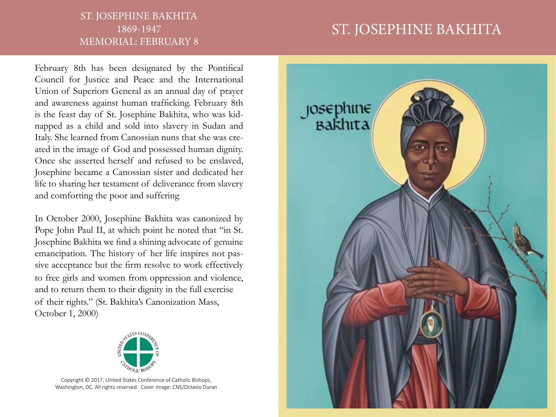## ST. JOSEPHINE BAKHITA 1869-1947 MEMORIAL: FEBRUARY 8

## ST. JOSEPHINE BAKHITA

February 8th has been designated by the Pontifical Council for Justice and Peace and the International Union of Superiors General as an annual day of prayer and awareness against human trafficking. February 8th is the feast day of St. Josephine Bakhita, who was kidnapped as a child and sold into slavery in Sudan and Italy. She learned from Canossian nuns that she was created in the image of God and possessed human dignity. Once she asserted herself and refused to be enslaved, Josephine became a Canossian sister and dedicated her life to sharing her testament of deliverance from slavery and comforting the poor and suffering

In October 2000, Josephine Bakhita was canonized by Pope John Paul II, at which point he noted that "in St. Josephine Bakhita we find a shining advocate of genuine emancipation. The history of her life inspires not passive acceptance but the firm resolve to work effectively to free girls and women from oppression and violence, and to return them to their dignity in the full exercise of their rights." (St. Bakhita's Canonization Mass, October 1, 2000)



Copyright © 2017, United States Conference of Catholic Bishops, Washington, DC. All rights reserved. Cover Image: CNS/Octavio Duran